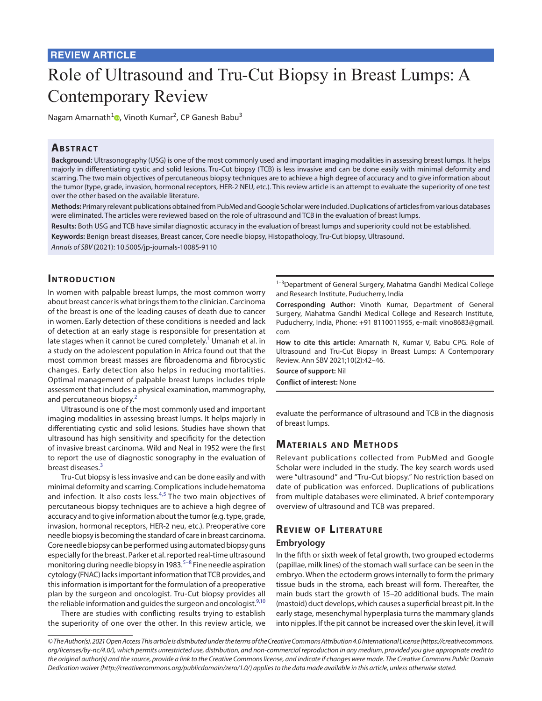# **REVIEW ARTICLE**

# Role of Ultrasound and Tru-Cut Biopsy in Breast Lumps: A Contemporary Review

Nagam Amarnath<sup>1</sup><sup>o</sup>[,](https://orcid.org/0000-0001-6905-9180) Vinoth Kumar<sup>2</sup>, CP Ganesh Babu<sup>3</sup>

# **ABSTRACT**

**Background:** Ultrasonography (USG) is one of the most commonly used and important imaging modalities in assessing breast lumps. It helps majorly in differentiating cystic and solid lesions. Tru-Cut biopsy (TCB) is less invasive and can be done easily with minimal deformity and scarring. The two main objectives of percutaneous biopsy techniques are to achieve a high degree of accuracy and to give information about the tumor (type, grade, invasion, hormonal receptors, HER-2 NEU, etc.). This review article is an attempt to evaluate the superiority of one test over the other based on the available literature.

**Methods:** Primary relevant publications obtained from PubMed and Google Scholar were included. Duplications of articles from various databases were eliminated. The articles were reviewed based on the role of ultrasound and TCB in the evaluation of breast lumps.

**Results:** Both USG and TCB have similar diagnostic accuracy in the evaluation of breast lumps and superiority could not be established.

**Keywords:** Benign breast diseases, Breast cancer, Core needle biopsy, Histopathology, Tru-Cut biopsy, Ultrasound.

*Annals of SBV* (2021): 10.5005/jp-journals-10085-9110

## **INTRODUCTION**

In women with palpable breast lumps, the most common worry about breast cancer is what brings them to the clinician. Carcinoma of the breast is one of the leading causes of death due to cancer in women. Early detection of these conditions is needed and lack of detection at an early stage is responsible for presentation at late stages when it cannot be cured completely.<sup>1</sup> Umanah et al. in a study on the adolescent population in Africa found out that the most common breast masses are fibroadenoma and fibrocystic changes. Early detection also helps in reducing mortalities. Optimal management of palpable breast lumps includes triple assessment that includes a physical examination, mammography, and percutaneous biopsy.<sup>[2](#page-3-1)</sup>

Ultrasound is one of the most commonly used and important imaging modalities in assessing breast lumps. It helps majorly in differentiating cystic and solid lesions. Studies have shown that ultrasound has high sensitivity and specificity for the detection of invasive breast carcinoma. Wild and Neal in 1952 were the first to report the use of diagnostic sonography in the evaluation of breast diseases.<sup>[3](#page-3-2)</sup>

Tru-Cut biopsy is less invasive and can be done easily and with minimal deformity and scarring. Complications include hematoma and infection. It also costs less. $4,5$  $4,5$  The two main objectives of percutaneous biopsy techniques are to achieve a high degree of accuracy and to give information about the tumor (e.g. type, grade, invasion, hormonal receptors, HER-2 neu, etc.). Preoperative core needle biopsy is becoming the standard of care in breast carcinoma. Core needle biopsy can be performed using automated biopsy guns especially for the breast. Parker et al. reported real-time ultrasound monitoring during needle biopsy in 1983.<sup>[5](#page-3-4)[–8](#page-3-5)</sup> Fine needle aspiration cytology (FNAC) lacks important information that TCB provides, and this information is important for the formulation of a preoperative plan by the surgeon and oncologist. Tru-Cut biopsy provides all the reliable information and guides the surgeon and oncologist.<sup>[9,](#page-3-6)[10](#page-3-7)</sup>

There are studies with conflicting results trying to establish the superiority of one over the other. In this review article, we

<sup>1-3</sup>Department of General Surgery, Mahatma Gandhi Medical College and Research Institute, Puducherry, India

**Corresponding Author:** Vinoth Kumar, Department of General Surgery, Mahatma Gandhi Medical College and Research Institute, Puducherry, India, Phone: +91 8110011955, e-mail: vino8683@gmail. com

**How to cite this article:** Amarnath N, Kumar V, Babu CPG. Role of Ultrasound and Tru-Cut Biopsy in Breast Lumps: A Contemporary Review. Ann SBV 2021;10(2):42–46.

**Source of support:** Nil **Conflict of interest:** None

evaluate the performance of ultrasound and TCB in the diagnosis of breast lumps.

# **MATERIALS AND METHODS**

Relevant publications collected from PubMed and Google Scholar were included in the study. The key search words used were "ultrasound" and "Tru-Cut biopsy." No restriction based on date of publication was enforced. Duplications of publications from multiple databases were eliminated. A brief contemporary overview of ultrasound and TCB was prepared.

# **REVIEW OF LITERATURE**

#### **Embryology**

In the fifth or sixth week of fetal growth, two grouped ectoderms (papillae, milk lines) of the stomach wall surface can be seen in the embryo. When the ectoderm grows internally to form the primary tissue buds in the stroma, each breast will form. Thereafter, the main buds start the growth of 15–20 additional buds. The main (mastoid) duct develops, which causes a superficial breast pit. In the early stage, mesenchymal hyperplasia turns the mammary glands into nipples. If the pit cannot be increased over the skin level, it will

*<sup>©</sup> The Author(s). 2021 Open Access This article is distributed under the terms of the Creative Commons Attribution 4.0 International License ([https://creativecommons.](https://creativecommons. org/licenses/by-nc/4.0/)  [org/licenses/by-nc/4.0/](https://creativecommons. org/licenses/by-nc/4.0/)), which permits unrestricted use, distribution, and non-commercial reproduction in any medium, provided you give appropriate credit to the original author(s) and the source, provide a link to the Creative Commons license, and indicate if changes were made. The Creative Commons Public Domain Dedication waiver ([http://creativecommons.org/publicdomain/zero/1.0/\)](http://creativecommons.org/publicdomain/zero/1.0/) applies to the data made available in this article, unless otherwise stated.*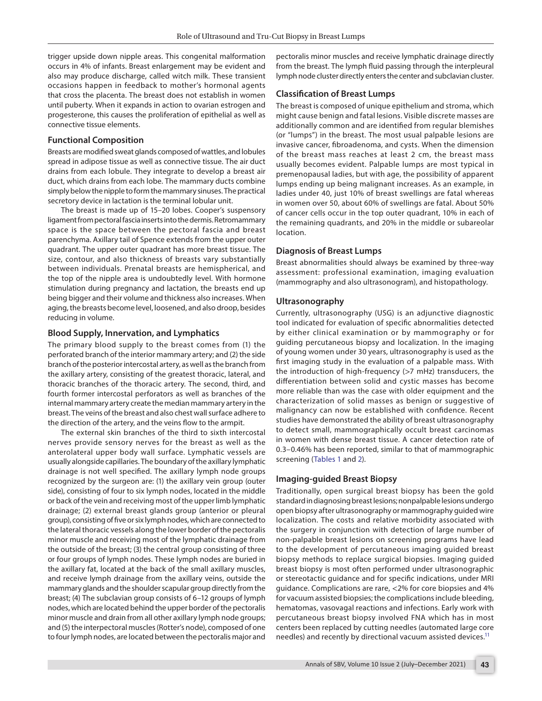trigger upside down nipple areas. This congenital malformation occurs in 4% of infants. Breast enlargement may be evident and also may produce discharge, called witch milk. These transient occasions happen in feedback to mother's hormonal agents that cross the placenta. The breast does not establish in women until puberty. When it expands in action to ovarian estrogen and progesterone, this causes the proliferation of epithelial as well as connective tissue elements.

#### **Functional Composition**

Breasts are modified sweat glands composed of wattles, and lobules spread in adipose tissue as well as connective tissue. The air duct drains from each lobule. They integrate to develop a breast air duct, which drains from each lobe. The mammary ducts combine simply below the nipple to form the mammary sinuses. The practical secretory device in lactation is the terminal lobular unit.

The breast is made up of 15–20 lobes. Cooper's suspensory ligament from pectoral fascia inserts into the dermis. Retromammary space is the space between the pectoral fascia and breast parenchyma. Axillary tail of Spence extends from the upper outer quadrant. The upper outer quadrant has more breast tissue. The size, contour, and also thickness of breasts vary substantially between individuals. Prenatal breasts are hemispherical, and the top of the nipple area is undoubtedly level. With hormone stimulation during pregnancy and lactation, the breasts end up being bigger and their volume and thickness also increases. When aging, the breasts become level, loosened, and also droop, besides reducing in volume.

### **Blood Supply, Innervation, and Lymphatics**

The primary blood supply to the breast comes from (1) the perforated branch of the interior mammary artery; and (2) the side branch of the posterior intercostal artery, as well as the branch from the axillary artery, consisting of the greatest thoracic, lateral, and thoracic branches of the thoracic artery. The second, third, and fourth former intercostal perforators as well as branches of the internal mammary artery create the median mammary artery in the breast. The veins of the breast and also chest wall surface adhere to the direction of the artery, and the veins flow to the armpit.

The external skin branches of the third to sixth intercostal nerves provide sensory nerves for the breast as well as the anterolateral upper body wall surface. Lymphatic vessels are usually alongside capillaries. The boundary of the axillary lymphatic drainage is not well specified. The axillary lymph node groups recognized by the surgeon are: (1) the axillary vein group (outer side), consisting of four to six lymph nodes, located in the middle or back of the vein and receiving most of the upper limb lymphatic drainage; (2) external breast glands group (anterior or pleural group), consisting of five or six lymph nodes, which are connected to the lateral thoracic vessels along the lower border of the pectoralis minor muscle and receiving most of the lymphatic drainage from the outside of the breast; (3) the central group consisting of three or four groups of lymph nodes. These lymph nodes are buried in the axillary fat, located at the back of the small axillary muscles, and receive lymph drainage from the axillary veins, outside the mammary glands and the shoulder scapular group directly from the breast; (4) The subclavian group consists of 6–12 groups of lymph nodes, which are located behind the upper border of the pectoralis minor muscle and drain from all other axillary lymph node groups; and (5) the interpectoral muscles (Rotter's node), composed of one to four lymph nodes, are located between the pectoralis major and

pectoralis minor muscles and receive lymphatic drainage directly from the breast. The lymph fluid passing through the interpleural lymph node cluster directly enters the center and subclavian cluster.

#### **Classification of Breast Lumps**

The breast is composed of unique epithelium and stroma, which might cause benign and fatal lesions. Visible discrete masses are additionally common and are identified from regular blemishes (or "lumps") in the breast. The most usual palpable lesions are invasive cancer, fibroadenoma, and cysts. When the dimension of the breast mass reaches at least 2 cm, the breast mass usually becomes evident. Palpable lumps are most typical in premenopausal ladies, but with age, the possibility of apparent lumps ending up being malignant increases. As an example, in ladies under 40, just 10% of breast swellings are fatal whereas in women over 50, about 60% of swellings are fatal. About 50% of cancer cells occur in the top outer quadrant, 10% in each of the remaining quadrants, and 20% in the middle or subareolar location.

#### **Diagnosis of Breast Lumps**

Breast abnormalities should always be examined by three-way assessment: professional examination, imaging evaluation (mammography and also ultrasonogram), and histopathology.

#### **Ultrasonography**

Currently, ultrasonography (USG) is an adjunctive diagnostic tool indicated for evaluation of specific abnormalities detected by either clinical examination or by mammography or for guiding percutaneous biopsy and localization. In the imaging of young women under 30 years, ultrasonography is used as the first imaging study in the evaluation of a palpable mass. With the introduction of high-frequency (>7 mHz) transducers, the differentiation between solid and cystic masses has become more reliable than was the case with older equipment and the characterization of solid masses as benign or suggestive of malignancy can now be established with confidence. Recent studies have demonstrated the ability of breast ultrasonography to detect small, mammographically occult breast carcinomas in women with dense breast tissue. A cancer detection rate of 0.3–0.46% has been reported, similar to that of mammographic screening ([Tables 1](#page-2-0) and [2](#page-2-1)).

#### **Imaging-guided Breast Biopsy**

Traditionally, open surgical breast biopsy has been the gold standard in diagnosing breast lesions; nonpalpable lesions undergo open biopsy after ultrasonography or mammography guided wire localization. The costs and relative morbidity associated with the surgery in conjunction with detection of large number of non-palpable breast lesions on screening programs have lead to the development of percutaneous imaging guided breast biopsy methods to replace surgical biopsies. Imaging guided breast biopsy is most often performed under ultrasonographic or stereotactic guidance and for specific indications, under MRI guidance. Complications are rare, <2% for core biopsies and 4% for vacuum assisted biopsies; the complications include bleeding, hematomas, vasovagal reactions and infections. Early work with percutaneous breast biopsy involved FNA which has in most centers been replaced by cutting needles (automated large core needles) and recently by directional vacuum assisted devices.<sup>11</sup>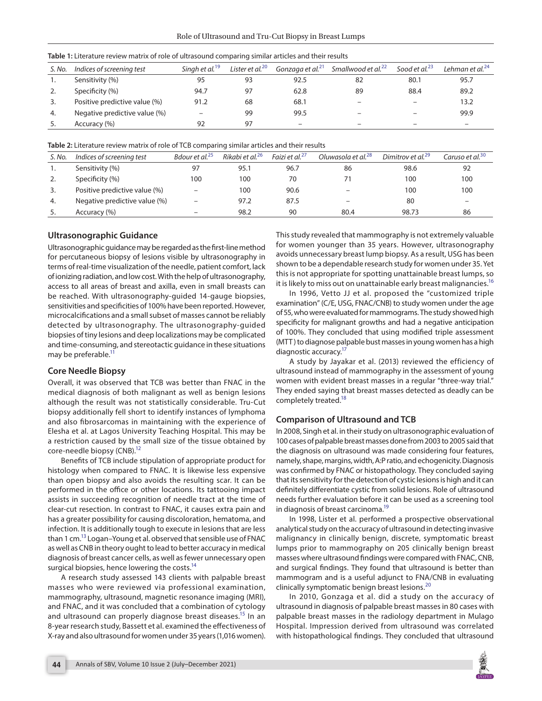| S. No. | Indices of screening test     | Sinah et al. <sup>19</sup> | Lister et al. <sup>20</sup> | Gonzaga et al. <sup>21</sup> | Smallwood et al. <sup>22</sup> | Sood et al. $^{23}$      | Lehman et al. $^{24}$ |
|--------|-------------------------------|----------------------------|-----------------------------|------------------------------|--------------------------------|--------------------------|-----------------------|
|        | Sensitivity (%)               | 95                         | 93                          | 92.5                         | 82                             | 80.1                     | 95.7                  |
|        | Specificity (%)               | 94.7                       | 97                          | 62.8                         | 89                             | 88.4                     | 89.2                  |
| 3.     | Positive predictive value (%) | 91.2                       | 68                          | 68.1                         |                                | $\overline{\phantom{0}}$ | 13.2                  |
| 4.     | Negative predictive value (%) | -                          | 99                          | 99.5                         |                                | -                        | 99.9                  |
|        | Accuracy (%)                  | 92                         | 97                          |                              |                                | -                        |                       |

<span id="page-2-0"></span>

<span id="page-2-1"></span>**Table 2:** Literature review matrix of role of TCB comparing similar articles and their results

| S. No. | Indices of screening test     | Bdour et al. <sup>25</sup> | Rikabi et al. <sup>26</sup> | Faizi et al. <sup>27</sup> | Oluwasola et al. <sup>28</sup> | Dimitrov et al. <sup>29</sup> | Caruso et al. <sup>30</sup> |
|--------|-------------------------------|----------------------------|-----------------------------|----------------------------|--------------------------------|-------------------------------|-----------------------------|
|        | Sensitivity (%)               | 97                         | 95.1                        | 96.7                       | 86                             | 98.6                          | 92                          |
| 2.     | Specificity (%)               | 100                        | 100                         | 70                         | 71                             | 100                           | 100                         |
| 3.     | Positive predictive value (%) |                            | 100                         | 90.6                       | $\overline{\phantom{m}}$       | 100                           | 100                         |
| 4.     | Negative predictive value (%) | $\overline{\phantom{0}}$   | 97.2                        | 87.5                       | $\qquad \qquad -$              | 80                            |                             |
|        | Accuracy (%)                  |                            | 98.2                        | 90                         | 80.4                           | 98.73                         | 86                          |

## **Ultrasonographic Guidance**

Ultrasonographic guidance may be regarded as the first-line method for percutaneous biopsy of lesions visible by ultrasonography in terms of real-time visualization of the needle, patient comfort, lack of ionizing radiation, and low cost. With the help of ultrasonography, access to all areas of breast and axilla, even in small breasts can be reached. With ultrasonography-guided 14-gauge biopsies, sensitivities and specificities of 100% have been reported. However, microcalcifications and a small subset of masses cannot be reliably detected by ultrasonography. The ultrasonography-guided biopsies of tiny lesions and deep localizations may be complicated and time-consuming, and stereotactic guidance in these situations may be preferable.<sup>11</sup>

## **Core Needle Biopsy**

Overall, it was observed that TCB was better than FNAC in the medical diagnosis of both malignant as well as benign lesions although the result was not statistically considerable. Tru-Cut biopsy additionally fell short to identify instances of lymphoma and also fibrosarcomas in maintaining with the experience of Elesha et al. at Lagos University Teaching Hospital. This may be a restriction caused by the small size of the tissue obtained by core-needle biopsy (CNB).<sup>12</sup>

Benefits of TCB include stipulation of appropriate product for histology when compared to FNAC. It is likewise less expensive than open biopsy and also avoids the resulting scar. It can be performed in the office or other locations. Its tattooing impact assists in succeeding recognition of needle tract at the time of clear-cut resection. In contrast to FNAC, it causes extra pain and has a greater possibility for causing discoloration, hematoma, and infection. It is additionally tough to execute in lesions that are less than 1 cm.<sup>13</sup> Logan–Young et al. observed that sensible use of FNAC as well as CNB in theory ought to lead to better accuracy in medical diagnosis of breast cancer cells, as well as fewer unnecessary open surgical biopsies, hence lowering the costs.<sup>14</sup>

A research study assessed 143 clients with palpable breast masses who were reviewed via professional examination, mammography, ultrasound, magnetic resonance imaging (MRI), and FNAC, and it was concluded that a combination of cytology and ultrasound can properly diagnose breast diseases.<sup>15</sup> In an 8-year research study, Bassett et al. examined the effectiveness of X-ray and also ultrasound for women under 35 years (1,016 women).

This study revealed that mammography is not extremely valuable for women younger than 35 years. However, ultrasonography avoids unnecessary breast lump biopsy. As a result, USG has been shown to be a dependable research study for women under 35. Yet this is not appropriate for spotting unattainable breast lumps, so it is likely to miss out on unattainable early breast malignancies.<sup>16</sup>

In 1996, Vetto JJ et al. proposed the "customized triple examination" (C/E, USG, FNAC/CNB) to study women under the age of 55, who were evaluated for mammograms. The study showed high specificity for malignant growths and had a negative anticipation of 100%. They concluded that using modified triple assessment (MTT ) to diagnose palpable bust masses in young women has a high diagnostic accuracy.<sup>17</sup>

A study by Jayakar et al. (2013) reviewed the efficiency of ultrasound instead of mammography in the assessment of young women with evident breast masses in a regular "three-way trial." They ended saying that breast masses detected as deadly can be completely treated[.18](#page-4-2)

# **Comparison of Ultrasound and TCB**

In 2008, Singh et al. in their study on ultrasonographic evaluation of 100 cases of palpable breast masses done from 2003 to 2005 said that the diagnosis on ultrasound was made considering four features, namely, shape, margins, width, A:P ratio, and echogenicity. Diagnosis was confirmed by FNAC or histopathology. They concluded saying that its sensitivity for the detection of cystic lesions is high and it can definitely differentiate cystic from solid lesions. Role of ultrasound needs further evaluation before it can be used as a screening tool in diagnosis of breast carcinoma[.19](#page-4-3)

In 1998, Lister et al. performed a prospective observational analytical study on the accuracy of ultrasound in detecting invasive malignancy in clinically benign, discrete, symptomatic breast lumps prior to mammography on 205 clinically benign breast masses where ultrasound findings were compared with FNAC, CNB, and surgical findings. They found that ultrasound is better than mammogram and is a useful adjunct to FNA/CNB in evaluating clinically symptomatic benign breast lesions.<sup>[20](#page-4-4)</sup>

In 2010, Gonzaga et al. did a study on the accuracy of ultrasound in diagnosis of palpable breast masses in 80 cases with palpable breast masses in the radiology department in Mulago Hospital. Impression derived from ultrasound was correlated with histopathological findings. They concluded that ultrasound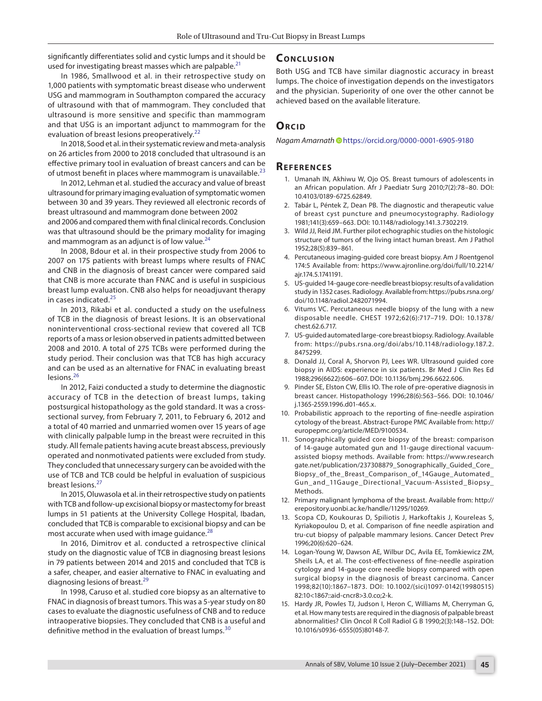significantly differentiates solid and cystic lumps and it should be used for investigating breast masses which are palpable.<sup>[21](#page-4-5)</sup>

#### In 1986, Smallwood et al. in their retrospective study on 1,000 patients with symptomatic breast disease who underwent USG and mammogram in Southampton compared the accuracy of ultrasound with that of mammogram. They concluded that ultrasound is more sensitive and specific than mammogram and that USG is an important adjunct to mammogram for the evaluation of breast lesions preoperatively.<sup>[22](#page-4-6)</sup>

In 2018, Sood et al. in their systematic review and meta-analysis on 26 articles from 2000 to 2018 concluded that ultrasound is an effective primary tool in evaluation of breast cancers and can be of utmost benefit in places where mammogram is unavailable. $^{23}$  $^{23}$  $^{23}$ 

In 2012, Lehman et al. studied the accuracy and value of breast ultrasound for primary imaging evaluation of symptomatic women between 30 and 39 years. They reviewed all electronic records of breast ultrasound and mammogram done between 2002

and 2006 and compared them with final clinical records. Conclusion was that ultrasound should be the primary modality for imaging and mammogram as an adjunct is of low value. $^{24}$  $^{24}$  $^{24}$ 

In 2008, Bdour et al. in their prospective study from 2006 to 2007 on 175 patients with breast lumps where results of FNAC and CNB in the diagnosis of breast cancer were compared said that CNB is more accurate than FNAC and is useful in suspicious breast lump evaluation. CNB also helps for neoadjuvant therapy in cases indicated.[25](#page-4-9)

In 2013, Rikabi et al. conducted a study on the usefulness of TCB in the diagnosis of breast lesions. It is an observational noninterventional cross-sectional review that covered all TCB reports of a mass or lesion observed in patients admitted between 2008 and 2010. A total of 275 TCBs were performed during the study period. Their conclusion was that TCB has high accuracy and can be used as an alternative for FNAC in evaluating breast lesions.<sup>[26](#page-4-10)</sup>

In 2012, Faizi conducted a study to determine the diagnostic accuracy of TCB in the detection of breast lumps, taking postsurgical histopathology as the gold standard. It was a crosssectional survey, from February 7, 2011, to February 6, 2012 and a total of 40 married and unmarried women over 15 years of age with clinically palpable lump in the breast were recruited in this study. All female patients having acute breast abscess, previously operated and nonmotivated patients were excluded from study. They concluded that unnecessary surgery can be avoided with the use of TCB and TCB could be helpful in evaluation of suspicious breast lesions.[27](#page-4-11)

In 2015, Oluwasola et al. in their retrospective study on patients with TCB and follow-up excisional biopsy or mastectomy for breast lumps in 51 patients at the University College Hospital, Ibadan, concluded that TCB is comparable to excisional biopsy and can be most accurate when used with image guidance.<sup>[28](#page-4-12)</sup>

In 2016, Dimitrov et al. conducted a retrospective clinical study on the diagnostic value of TCB in diagnosing breast lesions in 79 patients between 2014 and 2015 and concluded that TCB is a safer, cheaper, and easier alternative to FNAC in evaluating and diagnosing lesions of breast.<sup>[29](#page-4-13)</sup>

In 1998, Caruso et al. studied core biopsy as an alternative to FNAC in diagnosis of breast tumors. This was a 5-year study on 80 cases to evaluate the diagnostic usefulness of CNB and to reduce intraoperative biopsies. They concluded that CNB is a useful and definitive method in the evaluation of breast lumps.<sup>[30](#page-4-14)</sup>

# **CONCLUSION**

Both USG and TCB have similar diagnostic accuracy in breast lumps. The choice of investigation depends on the investigators and the physician. Superiority of one over the other cannot be achieved based on the available literature.

# **ORCID**

*Nagam Amarnat[h](https://orcid.org/0000-0001-6905-9180)* @ https://orcid.org/0000-0001-6905-9180

# **REFERENCES**

- <span id="page-3-0"></span>1. Umanah IN, Akhiwu W, Ojo OS. Breast tumours of adolescents in an African population. Afr J Paediatr Surg 2010;7(2):78–80. DOI: 10.4103/0189-6725.62849.
- <span id="page-3-1"></span>2. Tabár L, Péntek Z, Dean PB. The diagnostic and therapeutic value of breast cyst puncture and pneumocystography. Radiology 1981;141(3):659–663. DOI: 10.1148/radiology.141.3.7302219.
- <span id="page-3-2"></span>3. Wild JJ, Reid JM. Further pilot echographic studies on the histologic structure of tumors of the living intact human breast. Am J Pathol 1952;28(5):839–861.
- <span id="page-3-3"></span>4. Percutaneous imaging-guided core breast biopsy. Am J Roentgenol 174:5 Available from: https://www.ajronline.org/doi/full/10.2214/ ajr.174.5.1741191.
- <span id="page-3-4"></span>5. US-guided 14-gauge core-needle breast biopsy: results of a validation study in 1352 cases. Radiology. Available from: https://pubs.rsna.org/ doi/10.1148/radiol.2482071994.
- 6. Vitums VC. Percutaneous needle biopsy of the lung with a new disposable needle. CHEST 1972;62(6):717–719. DOI: 10.1378/ chest.62.6.717.
- 7. US-guided automated large-core breast biopsy. Radiology. Available from: https://pubs.rsna.org/doi/abs/10.1148/radiology.187.2. 8475299.
- <span id="page-3-5"></span>8. Donald JJ, Coral A, Shorvon PJ, Lees WR. Ultrasound guided core biopsy in AIDS: experience in six patients. Br Med J Clin Res Ed 1988;296(6622):606–607. DOI: 10.1136/bmj.296.6622.606.
- <span id="page-3-6"></span>9. Pinder SE, Elston CW, Ellis IO. The role of pre-operative diagnosis in breast cancer. Histopathology 1996;28(6):563–566. DOI: 10.1046/ j.1365-2559.1996.d01-465.x.
- <span id="page-3-7"></span>10. Probabilistic approach to the reporting of fine-needle aspiration cytology of the breast. Abstract-Europe PMC Available from: http:// europepmc.org/article/MED/9100534.
- <span id="page-3-8"></span>11. Sonographically guided core biopsy of the breast: comparison of 14-gauge automated gun and 11-gauge directional vacuumassisted biopsy methods. Available from: https://www.research gate.net/publication/237308879\_Sonographically\_Guided\_Core\_ Biopsy\_of\_the\_Breast\_Comparison\_of\_14Gauge\_Automated\_ Gun\_and\_11Gauge\_Directional\_Vacuum-Assisted\_Biopsy\_ Methods.
- <span id="page-3-9"></span>12. Primary malignant lymphoma of the breast. Available from: http:// erepository.uonbi.ac.ke/handle/11295/10269.
- <span id="page-3-10"></span>13. Scopa CD, Koukouras D, Spiliotis J, Harkoftakis J, Koureleas S, Kyriakopoulou D, et al. Comparison of fine needle aspiration and tru-cut biopsy of palpable mammary lesions. Cancer Detect Prev 1996;20(6):620–624.
- <span id="page-3-11"></span>14. Logan-Young W, Dawson AE, Wilbur DC, Avila EE, Tomkiewicz ZM, Sheils LA, et al. The cost-effectiveness of fine-needle aspiration cytology and 14-gauge core needle biopsy compared with open surgical biopsy in the diagnosis of breast carcinoma. Cancer 1998;82(10):1867–1873. DOI: 10.1002/(sici)1097-0142(19980515) 82:10<1867::aid-cncr8>3.0.co;2-k.
- <span id="page-3-12"></span>15. Hardy JR, Powles TJ, Judson I, Heron C, Williams M, Cherryman G, et al. How many tests are required in the diagnosis of palpable breast abnormalities? Clin Oncol R Coll Radiol G B 1990;2(3):148–152. DOI: 10.1016/s0936-6555(05)80148-7.